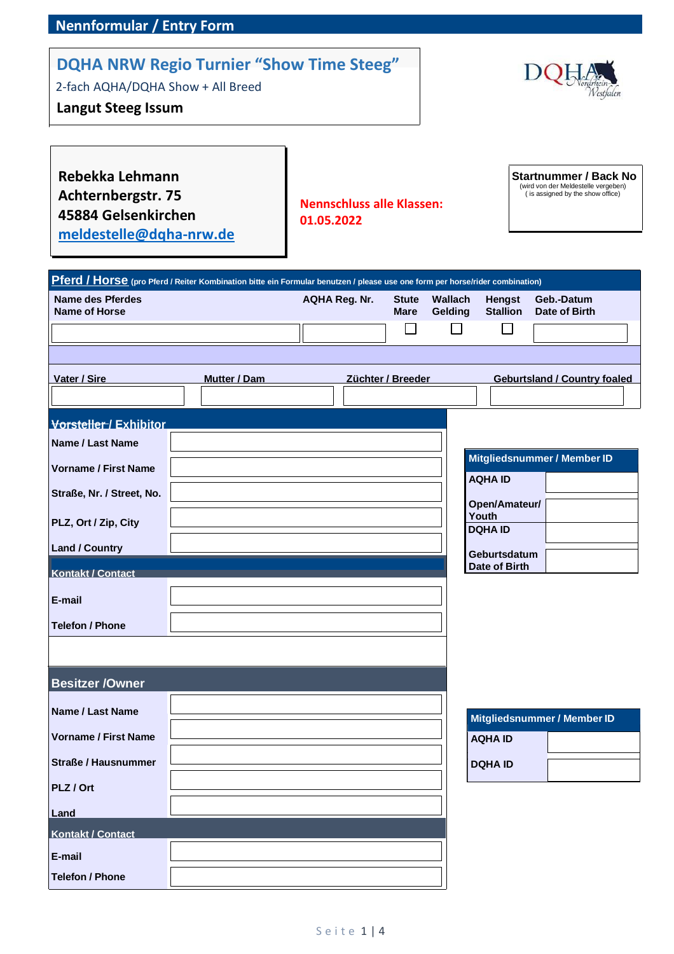## **Nennformular / Entry Form**

## **DQHA NRW Regio Turnier "Show Time Steeg"**

2-fach AQHA/DQHA Show + All Breed

## **Langut Steeg Issum**



**Rebekka Lehmann Achternbergstr. 75 45884 Gelsenkirchen [meldestelle@dqha-nrw.de](mailto:meldestelle@dqha-nrw.de)**

**Nennschluss alle Klassen: 01.05.2022**

**Startnummer / Back No** (wird von der Meldestelle vergeben) ( is assigned by the show office)

| <b>Name des Pferdes</b>     |              | <b>AQHA Reg. Nr.</b> | <b>Stute</b>      | Wallach | <b>Hengst</b>           | Geb.-Datum                          |
|-----------------------------|--------------|----------------------|-------------------|---------|-------------------------|-------------------------------------|
| <b>Name of Horse</b>        |              |                      | <b>Mare</b>       | Gelding | <b>Stallion</b>         | Date of Birth                       |
|                             |              |                      |                   |         |                         |                                     |
|                             |              |                      |                   |         |                         |                                     |
| Vater / Sire                | Mutter / Dam |                      | Züchter / Breeder |         |                         | <b>Geburtsland / Country foaled</b> |
|                             |              |                      |                   |         |                         |                                     |
| Vorsteller / Exhibitor      |              |                      |                   |         |                         |                                     |
| <b>Name / Last Name</b>     |              |                      |                   |         |                         |                                     |
| <b>Vorname / First Name</b> |              |                      |                   |         |                         | Mitgliedsnummer / Member ID         |
| Straße, Nr. / Street, No.   |              |                      |                   |         | <b>AQHA ID</b>          |                                     |
|                             |              |                      |                   |         | Open/Amateur/           |                                     |
| PLZ, Ort / Zip, City        |              |                      |                   |         | Youth<br><b>DQHA ID</b> |                                     |
| <b>Land / Country</b>       |              |                      |                   |         | Geburtsdatum            |                                     |
| <b>Kontakt / Contact</b>    |              |                      |                   |         | Date of Birth           |                                     |
| E-mail                      |              |                      |                   |         |                         |                                     |
|                             |              |                      |                   |         |                         |                                     |
| <b>Telefon / Phone</b>      |              |                      |                   |         |                         |                                     |
|                             |              |                      |                   |         |                         |                                     |
| Besitzer / Owner            |              |                      |                   |         |                         |                                     |
|                             |              |                      |                   |         |                         |                                     |
| <b>Name / Last Name</b>     |              |                      |                   |         |                         | Mitgliedsnummer / Member ID         |
| <b>Vorname / First Name</b> |              |                      |                   |         | <b>AQHA ID</b>          |                                     |
| <b>Straße / Hausnummer</b>  |              |                      |                   |         | <b>DQHA ID</b>          |                                     |
| PLZ / Ort                   |              |                      |                   |         |                         |                                     |
|                             |              |                      |                   |         |                         |                                     |
| Land<br>Kontakt / Contact   |              |                      |                   |         |                         |                                     |
|                             |              |                      |                   |         |                         |                                     |
| E-mail                      |              |                      |                   |         |                         |                                     |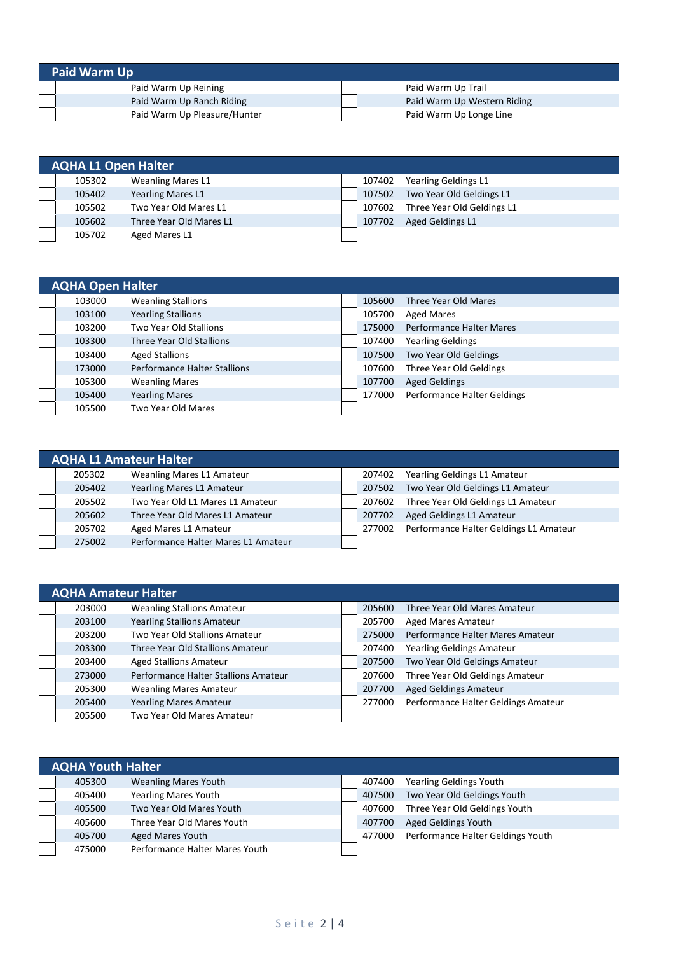| <b>Paid Warm Up</b>          |  |                             |  |  |  |  |  |
|------------------------------|--|-----------------------------|--|--|--|--|--|
| Paid Warm Up Reining         |  | Paid Warm Up Trail          |  |  |  |  |  |
| Paid Warm Up Ranch Riding    |  | Paid Warm Up Western Riding |  |  |  |  |  |
| Paid Warm Up Pleasure/Hunter |  | Paid Warm Up Longe Line     |  |  |  |  |  |

| <b>AQHA L1 Open Halter</b> |                          |        |                            |
|----------------------------|--------------------------|--------|----------------------------|
| 105302                     | <b>Weanling Mares L1</b> | 107402 | Yearling Geldings L1       |
| 105402                     | <b>Yearling Mares L1</b> | 107502 | Two Year Old Geldings L1   |
| 105502                     | Two Year Old Mares L1    | 107602 | Three Year Old Geldings L1 |
| 105602                     | Three Year Old Mares L1  | 107702 | Aged Geldings L1           |
| 105702                     | Aged Mares L1            |        |                            |

| <b>AQHA Open Halter</b> |                                     |        |                                 |
|-------------------------|-------------------------------------|--------|---------------------------------|
| 103000                  | <b>Weanling Stallions</b>           | 105600 | Three Year Old Mares            |
| 103100                  | <b>Yearling Stallions</b>           | 105700 | <b>Aged Mares</b>               |
| 103200                  | Two Year Old Stallions              | 175000 | <b>Performance Halter Mares</b> |
| 103300                  | Three Year Old Stallions            | 107400 | <b>Yearling Geldings</b>        |
| 103400                  | <b>Aged Stallions</b>               | 107500 | Two Year Old Geldings           |
| 173000                  | <b>Performance Halter Stallions</b> | 107600 | Three Year Old Geldings         |
| 105300                  | <b>Weanling Mares</b>               | 107700 | <b>Aged Geldings</b>            |
| 105400                  | <b>Yearling Mares</b>               | 177000 | Performance Halter Geldings     |
| 105500                  | Two Year Old Mares                  |        |                                 |

|        | <b>AQHA L1 Amateur Halter</b>       |        |                                        |
|--------|-------------------------------------|--------|----------------------------------------|
| 205302 | <b>Weanling Mares L1 Amateur</b>    | 207402 | Yearling Geldings L1 Amateur           |
| 205402 | Yearling Mares L1 Amateur           | 207502 | Two Year Old Geldings L1 Amateur       |
| 205502 | Two Year Old L1 Mares L1 Amateur    | 207602 | Three Year Old Geldings L1 Amateur     |
| 205602 | Three Year Old Mares L1 Amateur     | 207702 | Aged Geldings L1 Amateur               |
| 205702 | Aged Mares L1 Amateur               | 277002 | Performance Halter Geldings L1 Amateur |
| 275002 | Performance Halter Mares L1 Amateur |        |                                        |

| <b>AQHA Amateur Halter</b> |                                      |  |        |                                     |  |  |  |  |
|----------------------------|--------------------------------------|--|--------|-------------------------------------|--|--|--|--|
| 203000                     | <b>Weanling Stallions Amateur</b>    |  | 205600 | Three Year Old Mares Amateur        |  |  |  |  |
| 203100                     | <b>Yearling Stallions Amateur</b>    |  | 205700 | <b>Aged Mares Amateur</b>           |  |  |  |  |
| 203200                     | Two Year Old Stallions Amateur       |  | 275000 | Performance Halter Mares Amateur    |  |  |  |  |
| 203300                     | Three Year Old Stallions Amateur     |  | 207400 | <b>Yearling Geldings Amateur</b>    |  |  |  |  |
| 203400                     | <b>Aged Stallions Amateur</b>        |  | 207500 | Two Year Old Geldings Amateur       |  |  |  |  |
| 273000                     | Performance Halter Stallions Amateur |  | 207600 | Three Year Old Geldings Amateur     |  |  |  |  |
| 205300                     | <b>Weanling Mares Amateur</b>        |  | 207700 | <b>Aged Geldings Amateur</b>        |  |  |  |  |
| 205400                     | <b>Yearling Mares Amateur</b>        |  | 277000 | Performance Halter Geldings Amateur |  |  |  |  |
| 205500                     | Two Year Old Mares Amateur           |  |        |                                     |  |  |  |  |

| <b>AQHA Youth Halter</b> |                                |        |                                   |
|--------------------------|--------------------------------|--------|-----------------------------------|
| 405300                   | <b>Weanling Mares Youth</b>    | 407400 | <b>Yearling Geldings Youth</b>    |
| 405400                   | <b>Yearling Mares Youth</b>    | 407500 | Two Year Old Geldings Youth       |
| 405500                   | Two Year Old Mares Youth       | 407600 | Three Year Old Geldings Youth     |
| 405600                   | Three Year Old Mares Youth     | 407700 | <b>Aged Geldings Youth</b>        |
| 405700                   | Aged Mares Youth               | 477000 | Performance Halter Geldings Youth |
| 475000                   | Performance Halter Mares Youth |        |                                   |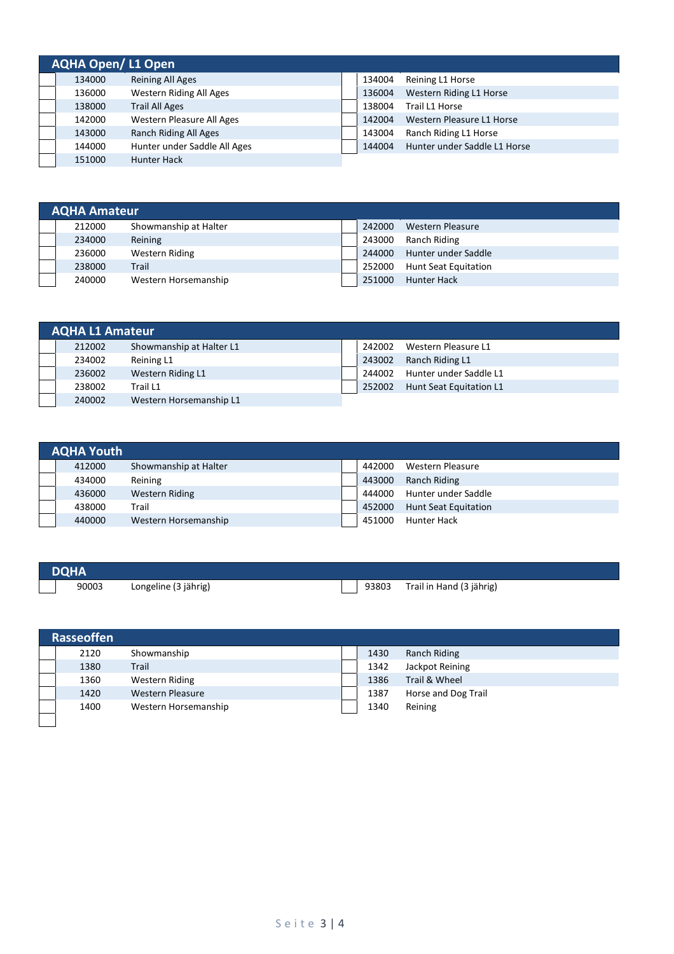| <b>AQHA Open/L1 Open</b> |                              |        |                              |
|--------------------------|------------------------------|--------|------------------------------|
| 134000                   | <b>Reining All Ages</b>      | 134004 | Reining L1 Horse             |
| 136000                   | Western Riding All Ages      | 136004 | Western Riding L1 Horse      |
| 138000                   | <b>Trail All Ages</b>        | 138004 | Trail L1 Horse               |
| 142000                   | Western Pleasure All Ages    | 142004 | Western Pleasure L1 Horse    |
| 143000                   | Ranch Riding All Ages        | 143004 | Ranch Riding L1 Horse        |
| 144000                   | Hunter under Saddle All Ages | 144004 | Hunter under Saddle L1 Horse |
| 151000                   | <b>Hunter Hack</b>           |        |                              |

| <b>AQHA Amateur</b> |                       |  |        |                             |
|---------------------|-----------------------|--|--------|-----------------------------|
| 212000              | Showmanship at Halter |  | 242000 | Western Pleasure            |
| 234000              | Reining               |  | 243000 | Ranch Riding                |
| 236000              | Western Riding        |  | 244000 | Hunter under Saddle         |
| 238000              | Trail                 |  | 252000 | <b>Hunt Seat Equitation</b> |
| 240000              | Western Horsemanship  |  | 251000 | <b>Hunter Hack</b>          |

| <b>AQHA L1 Amateur</b> |                          |  |        |                         |  |  |
|------------------------|--------------------------|--|--------|-------------------------|--|--|
| 212002                 | Showmanship at Halter L1 |  | 242002 | Western Pleasure L1     |  |  |
| 234002                 | Reining L1               |  | 243002 | Ranch Riding L1         |  |  |
| 236002                 | Western Riding L1        |  | 244002 | Hunter under Saddle L1  |  |  |
| 238002                 | Trail L1                 |  | 252002 | Hunt Seat Equitation L1 |  |  |
| 240002                 | Western Horsemanship L1  |  |        |                         |  |  |

| <b>AQHA Youth</b> |                       |        |                             |
|-------------------|-----------------------|--------|-----------------------------|
| 412000            | Showmanship at Halter | 442000 | Western Pleasure            |
| 434000            | Reining               | 443000 | Ranch Riding                |
| 436000            | Western Riding        | 444000 | Hunter under Saddle         |
| 438000            | Trail                 | 452000 | <b>Hunt Seat Equitation</b> |
| 440000            | Western Horsemanship  | 451000 | Hunter Hack                 |

| <b>DQHA</b> |                      |       |                          |
|-------------|----------------------|-------|--------------------------|
| 90003       | Longeline (3 jährig) | 93803 | Trail in Hand (3 jährig) |

| <b>Rasseoffen</b> |                         |  |      |                     |  |  |  |
|-------------------|-------------------------|--|------|---------------------|--|--|--|
| 2120              | Showmanship             |  | 1430 | Ranch Riding        |  |  |  |
| 1380              | Trail                   |  | 1342 | Jackpot Reining     |  |  |  |
| 1360              | Western Riding          |  | 1386 | Trail & Wheel       |  |  |  |
| 1420              | <b>Western Pleasure</b> |  | 1387 | Horse and Dog Trail |  |  |  |
| 1400              | Western Horsemanship    |  | 1340 | Reining             |  |  |  |
|                   |                         |  |      |                     |  |  |  |